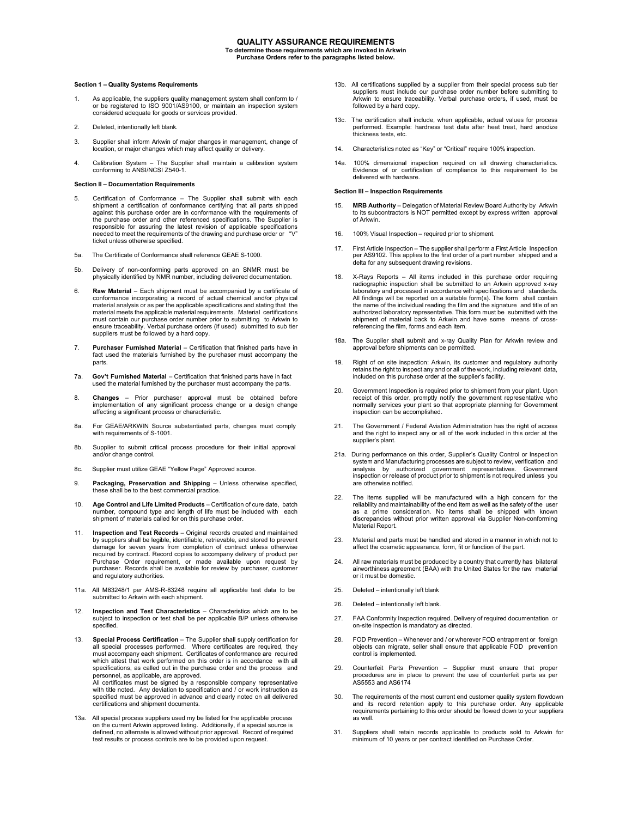## **QUALITY ASSURANCE REQUIREMENTS**

**To determine those requirements which are invoked in Arkwin Purchase Orders refer to the paragraphs listed below.**

## **Section 1 – Quality Systems Requirements**

- 1. As applicable, the suppliers quality management system shall conform to / or be registered to ISO 9001/AS9100, or maintain an inspection system considered adequate for goods or services provided.
- 2. Deleted, intentionally left blank.
- 3. Supplier shall inform Arkwin of major changes in management, change of location, or major changes which may affect quality or delivery.
- 4. Calibration System The Supplier shall maintain a calibration system conforming to ANSI/NCSI Z540-1.

## **Section II – Documentation Requirements**

- 5. Certification of Conformance The Supplier shall submit with each shipment a certification of conformance certifying that all parts shipped against this purchase order are in conformance with the requirements of the purchase order and other referenced specifications. The Supplier is responsible for assuring the latest revision of applicable specifications needed to meet the requirements of the drawing and purchase order or "V" ticket unless otherwise specified.
- 5a. The Certificate of Conformance shall reference GEAE S-1000.
- 5b. Delivery of non-conforming parts approved on an SNMR must be physically identified by NMR number, including delivered documentation.
- 6. **Raw Material**  Each shipment must be accompanied by a certificate of conformance incorporating a record of actual chemical and/or physical material analysis or as per the applicable specifications and stating that the material meets the applicable material requirements. Material certifications must contain our purchase order number prior to submitting to Arkwin to ensure traceability. Verbal purchase orders (if used) submitted to sub tier suppliers must be followed by a hard copy.
- 7. **Purchaser Furnished Material** Certification that finished parts have in fact used the materials furnished by the purchaser must accompany the parts.
- 7a. **Gov't Furnished Material** Certification that finished parts have in fact used the material furnished by the purchaser must accompany the parts.
- 8. **Changes**  Prior purchaser approval must be obtained before implementation of any significant process change or a design change affecting a significant process or characteristic.
- 8a. For GEAE/ARKWIN Source substantiated parts, changes must comply with requirements of S-1001.
- 8b. Supplier to submit critical process procedure for their initial approval and/or change control.
- 8c. Supplier must utilize GEAE "Yellow Page" Approved source.
- 9. **Packaging, Preservation and Shipping**  Unless otherwise specified, these shall be to the best commercial practice.
- 10. **Age Control and Life Limited Products**  Certification of cure date, batch number, compound type and length of life must be included with each shipment of materials called for on this purchase order.
- 11. **Inspection and Test Records**  Original records created and maintained by suppliers shall be legible, identifiable, retrievable, and stored to prevent damage for seven years from completion of contract unless otherwise required by contract. Record copies to accompany delivery of product per Purchase Order requirement, or made available upon request by purchaser. Records shall be available for review by purchaser, customer and regulatory authorities.
- 11a. All M83248/1 per AMS-R-83248 require all applicable test data to be submitted to Arkwin with each shipment.
- 12. **Inspection and Test Characteristics**  Characteristics which are to be subject to inspection or test shall be per applicable B/P unless otherwise specified.
- 13. **Special Process Certification** The Supplier shall supply certification for all special processes performed. Where certificates are required, they must accompany each shipment. Certificates of conformance are required which attest that work performed on this order is in accordance with all specifications, as called out in the purchase order and the process and personnel, as applicable, are approved. All certificates must be signed by a responsible company representative with title noted. Any deviation to specification and / or work instruction as specified must be approved in advance and clearly noted on all delivered
- 13a. All special process suppliers used my be listed for the applicable process on the current Arkwin approved listing. Additionally, if a special source is defined, no alternate is allowed without prior approval. Record of required test results or process controls are to be provided upon request.

certifications and shipment documents.

- 13b. All certifications supplied by a supplier from their special process sub tier suppliers must include our purchase order number before submitting to Arkwin to ensure traceability. Verbal purchase orders, if used, must be followed by a hard copy.
- 13c. The certification shall include, when applicable, actual values for process performed. Example: hardness test data after heat treat, hard anodize thickness tests, etc.
- 14. Characteristics noted as "Key" or "Critical" require 100% inspection.
- 14a. 100% dimensional inspection required on all drawing characteristics. Evidence of or certification of compliance to this requirement to be delivered with hardware.

## **Section III – Inspection Requirements**

- 15. **MRB Authority**  Delegation of Material Review Board Authority by Arkwin to its subcontractors is NOT permitted except by express written approval of Arkwin.
- 16. 100% Visual Inspection required prior to shipment.
- 17. First Article Inspection The supplier shall perform a First Article Inspection per AS9102. This applies to the first order of a part number shipped and a delta for any subsequent drawing revisions.
- 18. X-Rays Reports All items included in this purchase order requiring radiographic inspection shall be submitted to an Arkwin approved x-ray laboratory and processed in accordance with specifications and standards All findings will be reported on a suitable form(s). The form shall contain the name of the individual reading the film and the signature and title of an authorized laboratory representative. This form must be submitted with the shipment of material back to Arkwin and have some means of crossreferencing the film, forms and each item.
- 18a. The Supplier shall submit and x-ray Quality Plan for Arkwin review and approval before shipments can be permitted.
- 19. Right of on site inspection: Arkwin, its customer and regulatory authority retains the right to inspect any and or all of the work, including relevant data, included on this purchase order at the supplier's facility.
- 20. Government Inspection is required prior to shipment from your plant. Upon receipt of this order, promptly notify the government representative who normally services your plant so that appropriate planning for Government inspection can be accomplished.
- 21. The Government / Federal Aviation Administration has the right of access and the right to inspect any or all of the work included in this order at the supplier's plant.
- 21a. During performance on this order, Supplier's Quality Control or Inspection system and Manufacturing processes are subject to review, verification and analysis by authorized government representatives. Government inspection or release of product prior to shipment is not required unless you are otherwise notified.
- 22. The items supplied will be manufactured with a high concern for the reliability and maintainability of the end item as well as the safety of the user as a prime consideration. No items shall be shipped with known discrepancies without prior written approval via Supplier Non-conforming Material Report.
- 23. Material and parts must be handled and stored in a manner in which not to affect the cosmetic appearance, form, fit or function of the part.
- 24. All raw materials must be produced by a country that currently has bilateral airworthiness agreement (BAA) with the United States for the raw material or it must be domestic.
- 25. Deleted intentionally left blank
- 26. Deleted intentionally left blank.
- 27. FAA Conformity Inspection required. Delivery of required documentation or on-site inspection is mandatory as directed.
- 28. FOD Prevention Whenever and / or wherever FOD entrapment or foreign objects can migrate, seller shall ensure that applicable FOD prevention control is implemented.
- 29. Counterfeit Parts Prevention Supplier must ensure that proper procedures are in place to prevent the use of counterfeit parts as per AS5553 and AS6174
- 30. The requirements of the most current end customer quality system flowdown and its record retention apply to this purchase order. Any applicable requirements pertaining to this order should be flowed down to your suppliers as well.
- 31. Suppliers shall retain records applicable to products sold to Arkwin for minimum of 10 years or per contract identified on Purchase Order.